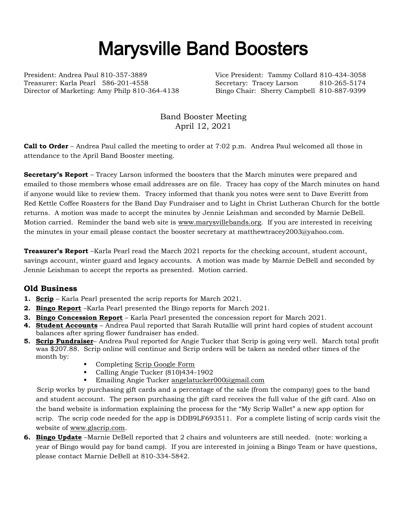## Marysville Band Boosters

President: Andrea Paul 810-357-3889 Vice President: Tammy Collard 810-434-3058 Treasurer: Karla Pearl 586-201-4558 Secretary: Tracey Larson 810-265-5174 Director of Marketing: Amy Philp 810-364-4138 Bingo Chair: Sherry Campbell 810-887-9399

Band Booster Meeting April 12, 2021

**Call to Order** – Andrea Paul called the meeting to order at 7:02 p.m. Andrea Paul welcomed all those in attendance to the April Band Booster meeting.

**Secretary's Report** – Tracey Larson informed the boosters that the March minutes were prepared and emailed to those members whose email addresses are on file. Tracey has copy of the March minutes on hand if anyone would like to review them. Tracey informed that thank you notes were sent to Dave Everitt from Red Kettle Coffee Roasters for the Band Day Fundraiser and to Light in Christ Lutheran Church for the bottle returns. A motion was made to accept the minutes by Jennie Leishman and seconded by Marnie DeBell. Motion carried. Reminder the band web site is [www.marysvillebands.org.](http://www.marysvillebands.org/) If you are interested in receiving the minutes in your email please contact the booster secretary at matthewtracey2003@yahoo.com.

**Treasurer's Report** –Karla Pearl read the March 2021 reports for the checking account, student account, savings account, winter guard and legacy accounts. A motion was made by Marnie DeBell and seconded by Jennie Leishman to accept the reports as presented. Motion carried.

## **Old Business**

- **1. Scrip** Karla Pearl presented the scrip reports for March 2021.
- **2. Bingo Report** –Karla Pearl presented the Bingo reports for March 2021.
- **3. Bingo Concession Report** Karla Pearl presented the concession report for March 2021.
- **4. Student Accounts** Andrea Paul reported that Sarah Rutallie will print hard copies of student account balances after spring flower fundraiser has ended.
- **5. Scrip Fundraiser** Andrea Paul reported for Angie Tucker that Scrip is going very well. March total profit was \$207.88. Scrip online will continue and Scrip orders will be taken as needed other times of the month by:
	- Completing [Scrip Google Form](https://forms.gle/Ryvw2wHxTdg1j3Yj6)
	- Calling Angie Tucker (810)434-1902
	- **Emailing Angie Tucker [angelatucker000@gmail.com](mailto:angelatucker000@gmail.com)**

Scrip works by purchasing gift cards and a percentage of the sale (from the company) goes to the band and student account. The person purchasing the gift card receives the full value of the gift card. Also on the band website is information explaining the process for the "My Scrip Wallet" a new app option for scrip. The scrip code needed for the app is DDB9LF693511. For a complete listing of scrip cards visit the website of [www.glscrip.com.](http://www.glscrip.com/)

**6. Bingo Update** –Marnie DeBell reported that 2 chairs and volunteers are still needed. (note: working a year of Bingo would pay for band camp). If you are interested in joining a Bingo Team or have questions, please contact Marnie DeBell at 810-334-5842.